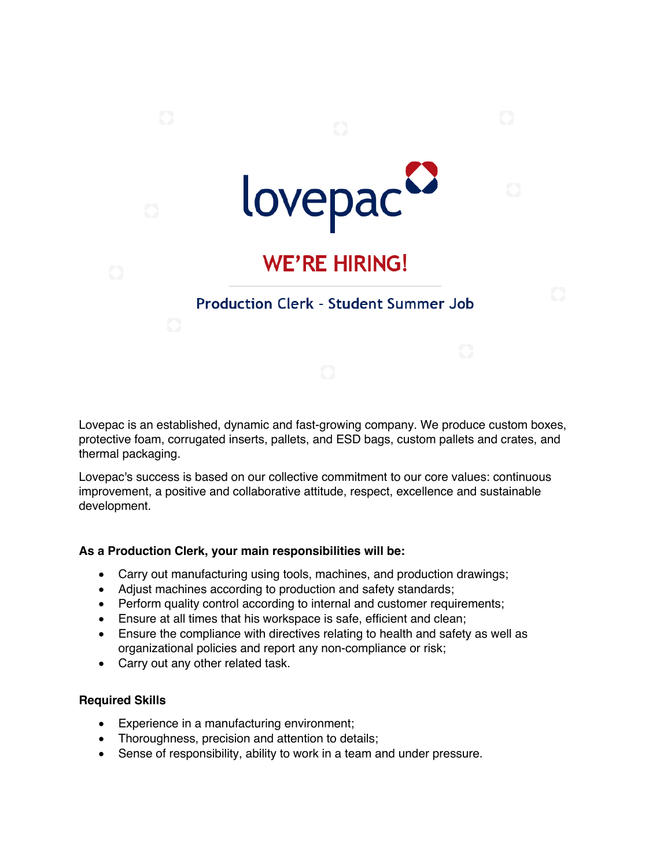

Lovepac is an established, dynamic and fast-growing company. We produce custom boxes, protective foam, corrugated inserts, pallets, and ESD bags, custom pallets and crates, and thermal packaging.

Lovepac's success is based on our collective commitment to our core values: continuous improvement, a positive and collaborative attitude, respect, excellence and sustainable development.

## **As a Production Clerk, your main responsibilities will be:**

- Carry out manufacturing using tools, machines, and production drawings;
- Adjust machines according to production and safety standards;
- Perform quality control according to internal and customer requirements;
- Ensure at all times that his workspace is safe, efficient and clean;
- Ensure the compliance with directives relating to health and safety as well as organizational policies and report any non-compliance or risk;
- Carry out any other related task.

## **Required Skills**

- Experience in a manufacturing environment;
- Thoroughness, precision and attention to details;
- Sense of responsibility, ability to work in a team and under pressure.